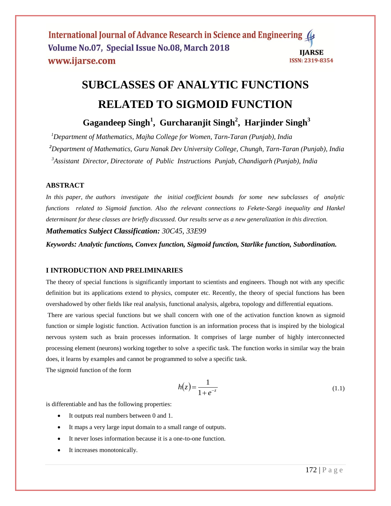International Journal of Advance Research in Science and Engineering ( Volume No.07, Special Issue No.08, March 2018 **IIARSE** www.ijarse.com **ISSN: 2319-8354** 

# **SUBCLASSES OF ANALYTIC FUNCTIONS RELATED TO SIGMOID FUNCTION**

 **Gagandeep Singh<sup>1</sup> , Gurcharanjit Singh<sup>2</sup> , Harjinder Singh<sup>3</sup>**

*<sup>1</sup>Department of Mathematics, Majha College for Women, Tarn-Taran (Punjab), India <sup>2</sup>Department of Mathematics, Guru Nanak Dev University College, Chungh, Tarn-Taran (Punjab), India 3 Assistant Director, Directorate of Public Instructions Punjab, Chandigarh (Punjab), India*

# **ABSTRACT**

*In this paper, the authors investigate the initial coefficient bounds for some new subclasses of analytic functions related to Sigmoid function. Also the relevant connections to Fekete-Szegö inequality and Hankel determinant for these classes are briefly discussed. Our results serve as a new generalization in this direction. Mathematics Subject Classification: 30C45, 33E99* 

*Keywords: Analytic functions, Convex function, Sigmoid function, Starlike function, Subordination.*

# **I INTRODUCTION AND PRELIMINARIES**

The theory of special functions is significantly important to scientists and engineers. Though not with any specific definition but its applications extend to physics, computer etc. Recently, the theory of special functions has been overshadowed by other fields like real analysis, functional analysis, algebra, topology and differential equations.

There are various special functions but we shall concern with one of the activation function known as sigmoid function or simple logistic function. Activation function is an information process that is inspired by the biological nervous system such as brain processes information. It comprises of large number of highly interconnected processing element (neurons) working together to solve a specific task. The function works in similar way the brain does, it learns by examples and cannot be programmed to solve a specific task.

The sigmoid function of the form

$$
h(z) = \frac{1}{1 + e^{-z}}\tag{1.1}
$$

is differentiable and has the following properties:

- It outputs real numbers between 0 and 1.
- It maps a very large input domain to a small range of outputs.
- It never loses information because it is a one-to-one function.
- It increases monotonically.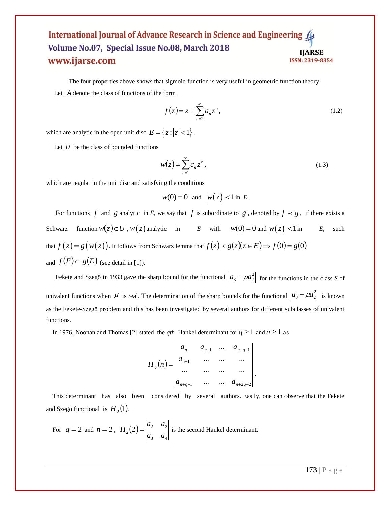#### International Journal of Advance Research in Science and Engineering Volume No.07, Special Issue No.08, March 2018 **IIARSE** www.ijarse.com **ISSN: 2319-8354**

The four properties above shows that sigmoid function is very useful in geometric function theory.

Let *A* denote the class of functions of the form

$$
f(z) = z + \sum_{n=2}^{\infty} a_n z^n,
$$
 (1.2)

which are analytic in the open unit disc  $E = \{z : |z| < 1\}$ .

Let *U* be the class of bounded functions

$$
w(z) = \sum_{n=1}^{\infty} c_n z^n,
$$
\n(1.3)

which are regular in the unit disc and satisfying the conditions

$$
w(0) = 0 \quad \text{and} \quad |w(z)| < 1 \text{ in } E.
$$

For functions  $f$  and  $g$  analytic in  $E$ , we say that  $f$  is subordinate to  $g$ , denoted by  $f \prec g$ , if there exists a Schwarz function  $w(z) \in U$ ,  $w(z)$  analytic in *E* with  $w(0) = 0$  and  $|w(z)| < 1$  in *E*, such that  $f(z) = g(w(z))$ . It follows from Schwarz lemma that  $f(z) \prec g(z)(z \in E) \Longrightarrow f(0) = g(0)$ and  $f(E) \subset g(E)$  (see detail in [1]).

Fekete and Szegö in 1933 gave the sharp bound for the functional  $|a_3 - \mu a_2^2|$  for the functions in the class *S* of univalent functions when  $\mu$  is real. The determination of the sharp bounds for the functional  $|a_3 - \mu a_2^2|$  is known as the Fekete-Szegö problem and this has been investigated by several authors for different subclasses of univalent functions.

In 1976, Noonan and Thomas [2] stated the *qth* Hankel determinant for  $q \ge 1$  and  $n \ge 1$  as

$$
H_q(n) = \begin{vmatrix} a_n & a_{n+1} & \dots & a_{n+q-1} \\ a_{n+1} & \dots & a_{n+q-1} \\ \dots & \dots & \dots & \dots \\ a_{n+q-1} & \dots & a_{n+q-2} \end{vmatrix}.
$$

 This determinant has also been considered by several authors. Easily, one can observe that the Fekete and Szegö functional is  $H_2(1)$ .

For  $q = 2$  and  $n = 2$ ,  $H_2(2)$ 3  $u_4$  $a_2(2) = \begin{vmatrix} a_2 & a_3 \\ a_3 & a_4 \end{vmatrix}$  $a<sub>2</sub>$  *a*  $H_2(2) = \begin{vmatrix} 1 & 0 \\ 0 & 1 \end{vmatrix}$  is the second Hankel determinant.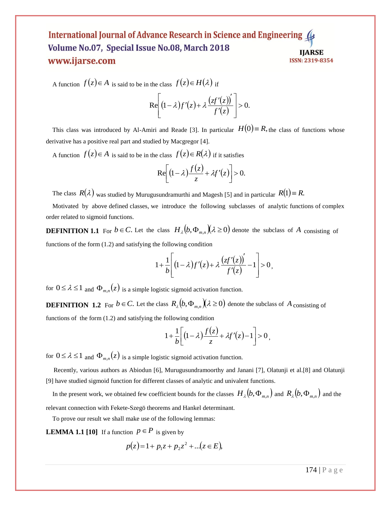#### International Journal of Advance Research in Science and Engineering Volume No.07, Special Issue No.08, March 2018 **IIARSE** www.ijarse.com **ISSN: 2319-8354**

A function  $f(z) \in A$  is said to be in the class  $f(z) \in H(\lambda)$  if

$$
\mathrm{Re}\!\!\left[(1-\lambda)f'(z)+\lambda\frac{\left(zt'(z)\right)'}{f'(z)}\right]>0.
$$

This class was introduced by Al-Amiri and Reade [3]. In particular  $H(0) = R$ , the class of functions whose derivative has a positive real part and studied by Macgregor [4].

A function  $f(z) \in A$  is said to be in the class  $f(z) \in R(\lambda)$  if it satisfies

$$
\mathrm{Re}\bigg[\big(1-\lambda\big)\frac{f(z)}{z}+\lambda f'(z)\bigg]>0.
$$

The class  $R(\lambda)$  was studied by Murugusundramurthi and Magesh [5] and in particular  $R(1) \equiv R$ .

 Motivated by above defined classes, we introduce the following subclasses of analytic functions of complex order related to sigmoid functions.

**DEFINITION 1.1** For  $b \in C$ . Let the class  $H_{\lambda}(b, \Phi_{m,n})(\lambda \ge 0)$  denote the subclass of A consisting of functions of the form (1.2) and satisfying the following condition

$$
1+\frac{1}{b}\left[(1-\lambda)f'(z)+\lambda\frac{\left(zf'(z)\right)'}{f'(z)}-1\right]>0,
$$

for  $0 \le \lambda \le 1$  and  $\Phi_{m,n}(z)$  is a simple logistic sigmoid activation function.

**DEFINITION** 1.2 For  $b \in C$ . Let the class  $R_{\lambda}(b, \Phi_{m,n})(\lambda \ge 0)$  denote the subclass of A consisting of functions of the form (1.2) and satisfying the following condition

$$
1+\frac{1}{b}\bigg[\big(1-\lambda\big)\frac{f(z)}{z}+\lambda f'(z)-1\bigg]>0\,,
$$

for  $0 \le \lambda \le 1$  and  $\Phi_{m,n}(z)$  is a simple logistic sigmoid activation function.

 Recently, various authors as Abiodun [6], Murugusundramoorthy and Janani [7], Olatunji et al.[8] and Olatunji [9] have studied sigmoid function for different classes of analytic and univalent functions.

In the present work, we obtained few coefficient bounds for the classes  $H_A(b, \Phi_{m,n})$  and  $R_A(b, \Phi_{m,n})$  and the relevant connection with Fekete-Szegö theorems and Hankel determinant.

To prove our result we shall make use of the following lemmas:

**LEMMA 1.1** [10] If a function  $p \in P$  is given by

$$
p(z) = 1 + p_1 z + p_2 z^2 + \dots (z \in E),
$$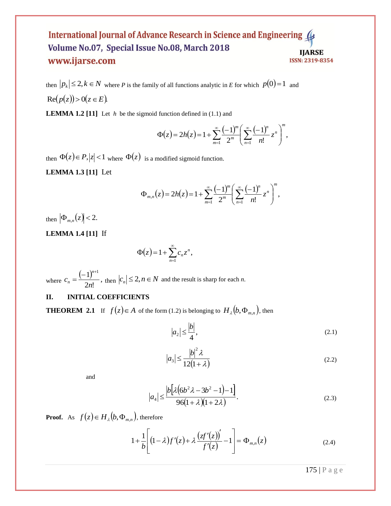## International Journal of Advance Research in Science and Engineering Volume No.07, Special Issue No.08, March 2018 **IJARSE** www.ijarse.com **ISSN: 2319-8354**

then  $|p_k| \leq 2, k \in \mathbb{N}$  where P is the family of all functions analytic in E for which  $p(0)=1$  and  $Re(p(z)) > 0(z \in E)$ .

**LEMMA 1.2** [11] Let  $h$  be the sigmoid function defined in  $(1.1)$  and

$$
\Phi(z) = 2h(z) = 1 + \sum_{m=1}^{\infty} \frac{(-1)^m}{2^m} \left( \sum_{n=1}^{\infty} \frac{(-1)^n}{n!} z^n \right)^m,
$$

then  $\Phi(z) \in P, |z| < 1$  where  $\Phi(z)$  is a modified sigmoid function.

**LEMMA 1.3 [11]** Let

$$
\Phi_{m,n}(z) = 2h(z) = 1 + \sum_{m=1}^{\infty} \frac{(-1)^m}{2^m} \left( \sum_{n=1}^{\infty} \frac{(-1)^n}{n!} z^n \right)^m,
$$

then  $|\Phi_{m,n}(z)| < 2$ .

**LEMMA 1.4 [11]** If

$$
\Phi(z) = 1 + \sum_{n=1}^{\infty} c_n z^n,
$$

where  $\frac{(-1)^{n+1}}{2}$  $2n!$  $1)^{n+1}$ *n c n n*  $=\frac{(-1)^{n+1}}{2n!}$ , then  $|c_n| \leq 2, n \in \mathbb{N}$  and the result is sharp for each *n*.

# **II. INITIAL COEFFICIENTS**

**THEOREM 2.1** If  $f(z) \in A$  of the form (1.2) is belonging to  $H_{\lambda}(b, \Phi_{m,n})$ , then

$$
|a_2| \le \frac{|b|}{4},\tag{2.1}
$$

$$
|a_3| \le \frac{|b|^2 \lambda}{12(1+\lambda)}
$$
\n(2.2)

and

$$
|a_4| \le \frac{|b[\lambda(6b^2\lambda - 3b^2 - 1) - 1]}{96(1 + \lambda)(1 + 2\lambda)}.
$$
\n(2.3)

**Proof.** As  $f(z) \in H_A(b, \Phi_{m,n})$ , therefore

$$
1 + \frac{1}{b} \left[ (1 - \lambda) f'(z) + \lambda \frac{\left( z f'(z) \right)'}{f'(z)} - 1 \right] = \Phi_{m,n}(z) \tag{2.4}
$$

175 | P a g e

$$
\Phi(z) = 1 + \sum_{n=1}^{\infty} c_n z^n,
$$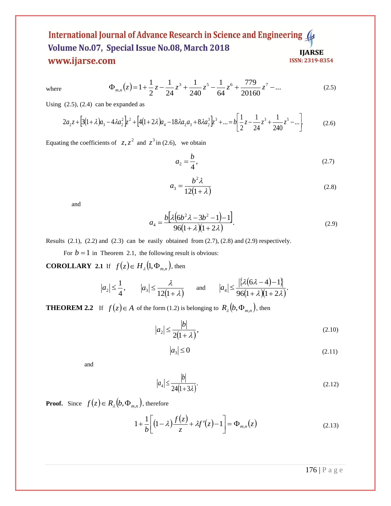# International Journal of Advance Research in Science and Engineering ( Volume No.07, Special Issue No.08, March 2018 **IJARSE** www.ijarse.com ISSN: 2319-8354

where 
$$
\Phi_{m,n}(z) = 1 + \frac{1}{2}z - \frac{1}{24}z^3 + \frac{1}{240}z^5 - \frac{1}{64}z^6 + \frac{779}{20160}z^7 - \dots
$$
 (2.5)

Using  $(2.5)$ ,  $(2.4)$  can be expanded as

$$
2a_2 z + [3(1+\lambda)a_3 - 4\lambda a_2^2]z^2 + [4(1+2\lambda)a_4 - 18\lambda a_2 a_3 + 8\lambda a_2^3]z^3 + \dots = b\left[\frac{1}{2}z - \frac{1}{24}z^3 + \frac{1}{240}z^5 - \dots\right].
$$
 (2.6)

Equating the coefficients of  $z, z^2$  and  $z^3$  in (2.6), we obtain

$$
a_2 = \frac{b}{4},\tag{2.7}
$$

$$
a_3 = \frac{b^2 \lambda}{12(1+\lambda)}
$$
 (2.8)

and

$$
a_4 = \frac{b[\lambda(6b^2\lambda - 3b^2 - 1) - 1]}{96(1 + \lambda)(1 + 2\lambda)}.
$$
\n(2.9)

Results  $(2.1)$ ,  $(2.2)$  and  $(2.3)$  can be easily obtained from  $(2.7)$ ,  $(2.8)$  and  $(2.9)$  respectively.

For  $b = 1$  in Theorem 2.1, the following result is obvious: **COROLLARY** 2.1 If  $f(z) \in H_1(1, \Phi_{m,n})$ , then

$$
|a_2| \leq \frac{1}{4}
$$
,  $|a_3| \leq \frac{\lambda}{12(1+\lambda)}$  and  $|a_4| \leq \frac{|\{\lambda(6\lambda-4)-1\}|}{96(1+\lambda)(1+2\lambda)}$ .

**THEOREM 2.2** If  $f(z) \in A$  of the form (1.2) is belonging to  $R_{\lambda}(b, \Phi_{m,n})$ , then

$$
|a_2| \le \frac{|b|}{2(1+\lambda)},\tag{2.10}
$$

$$
|a_3| \le 0\tag{2.11}
$$

and

$$
|a_4| \le \frac{|b|}{24(1+3\lambda)}.\tag{2.12}
$$

**Proof.** Since  $f(z) \in R_{\lambda}(b, \Phi_{m,n})$ , therefore

$$
1 + \frac{1}{b} \left[ (1 - \lambda) \frac{f(z)}{z} + \lambda f'(z) - 1 \right] = \Phi_{m,n}(z)
$$
\n(2.13)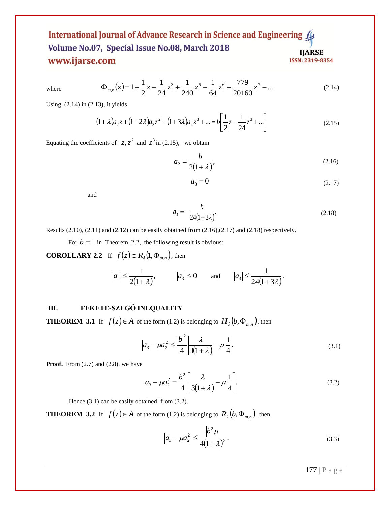# International Journal of Advance Research in Science and Engineering Volume No.07, Special Issue No.08, March 2018 **IJARSE** www.ijarse.com ISSN: 2319-8354

where 
$$
\Phi_{m,n}(z) = 1 + \frac{1}{2}z - \frac{1}{24}z^3 + \frac{1}{240}z^5 - \frac{1}{64}z^6 + \frac{779}{20160}z^7 - \dots
$$
 (2.14)

Using  $(2.14)$  in  $(2.13)$ , it yields

$$
(1+\lambda)a_2z + (1+2\lambda)a_3z^2 + (1+3\lambda)a_4z^3 + \dots = b\left[\frac{1}{2}z - \frac{1}{24}z^3 + \dots\right]
$$
\n(2.15)

Equating the coefficients of  $z, z^2$  and  $z^3$  in (2.15), we obtain

$$
a_2 = \frac{b}{2(1+\lambda)},\tag{2.16}
$$

$$
a_3 = 0 \tag{2.17}
$$

and

$$
a_4 = -\frac{b}{24(1+3\lambda)}.\tag{2.18}
$$

Results (2.10), (2.11) and (2.12) can be easily obtained from (2.16),(2.17) and (2.18) respectively.

For  $b = 1$  in Theorem 2.2, the following result is obvious:

**COROLLARY 2.2** If  $f(z) \in R_{\lambda}(1, \Phi_{m,n})$ , then

$$
|a_2| \le \frac{1}{2(1+\lambda)},
$$
  $|a_3| \le 0$  and  $|a_4| \le \frac{1}{24(1+3\lambda)}.$ 

# **III. FEKETE-SZEGӦ INEQUALITY**

**THEOREM 3.1** If  $f(z) \in A$  of the form (1.2) is belonging to  $H_{\lambda}(b, \Phi_{m,n})$ , then

$$
\left| a_3 - \mu a_2^2 \right| \le \frac{|b|^2}{4} \left| \frac{\lambda}{3(1+\lambda)} - \mu \frac{1}{4} \right| \tag{3.1}
$$

**Proof.** From (2.7) and (2.8), we have

$$
a_3 - \mu a_2^2 = \frac{b^2}{4} \left[ \frac{\lambda}{3(1+\lambda)} - \mu \frac{1}{4} \right].
$$
 (3.2)

Hence  $(3.1)$  can be easily obtained from  $(3.2)$ .

**THEOREM 3.2** If  $f(z) \in A$  of the form (1.2) is belonging to  $R_{\lambda}(b, \Phi_{m,n})$ , then

$$
\left| a_3 - \mu a_2^2 \right| \le \frac{\left| b^2 \mu \right|}{4(1 + \lambda)^2}.
$$
 (3.3)

177 | P a g e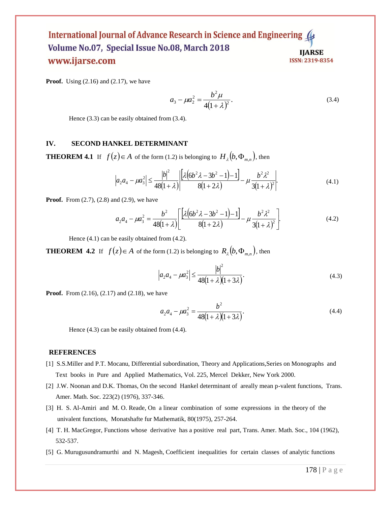#### International Journal of Advance Research in Science and Engineering Volume No.07, Special Issue No.08, March 2018 **IJARSE** www.ijarse.com ISSN: 2319-8354

**Proof.** Using (2.16) and (2.17), we have

$$
a_3 - \mu a_2^2 = \frac{b^2 \mu}{4(1 + \lambda)^2}.
$$
 (3.4)

Hence (3.3) can be easily obtained from (3.4).

#### **IV. SECOND HANKEL DETERMINANT**

**THEOREM 4.1** If  $f(z) \in A$  of the form (1.2) is belonging to  $H_{\lambda}(b, \Phi_{m,n})$ , then

$$
\left| a_2 a_4 - \mu a_3^2 \right| \le \frac{|b|^2}{48(1+\lambda)} \left| \frac{\left[ \lambda \left( 6b^2 \lambda - 3b^2 - 1 \right) - 1 \right]}{8(1+2\lambda)} - \mu \frac{b^2 \lambda^2}{3(1+\lambda)^2} \right| \tag{4.1}
$$

**Proof.** From (2.7), (2.8) and (2.9), we have

$$
a_2 a_4 - \mu a_3^2 = \frac{b^2}{48(1+\lambda)} \left[ \frac{\left[ \lambda \left( 6b^2 \lambda - 3b^2 - 1 \right) - 1 \right]}{8(1+2\lambda)} - \mu \frac{b^2 \lambda^2}{3(1+\lambda)^2} \right].
$$
 (4.2)

Hence (4.1) can be easily obtained from (4.2).

**THEOREM 4.2** If  $f(z) \in A$  of the form (1.2) is belonging to  $R_{\lambda}(b, \Phi_{m,n})$ , then

$$
\left| a_2 a_4 - \mu a_3^2 \right| \le \frac{|b|^2}{48(1+\lambda)(1+3\lambda)}.
$$
\n(4.3)

**Proof.** From (2.16), (2.17) and (2.18), we have

$$
a_2 a_4 - \mu a_3^2 = \frac{b^2}{48(1+\lambda)(1+3\lambda)}.
$$
\n(4.4)

Hence (4.3) can be easily obtained from (4.4).

#### **REFERENCES**

- [1] S.S.Miller and P.T. Mocanu, Differential subordination, Theory and Applications,Series on Monographs and Text books in Pure and Applied Mathematics, Vol. 225, Mercel Dekker, New York 2000.
- [2] J.W. Noonan and D.K. Thomas, On the second Hankel determinant of areally mean p-valent functions, Trans. Amer. Math. Soc. 223(2) (1976), 337-346.
- [3] H. S. Al-Amiri and M. O. Reade, On a linear combination of some expressions in the theory of the univalent functions, Monatshafte fur Mathematik, 80(1975), 257-264.
- [4] T. H. MacGregor, Functions whose derivative has a positive real part, Trans. Amer. Math. Soc., 104 (1962), 532-537.
- [5] G. Murugusundramurthi and N. Magesh, Coefficient inequalities for certain classes of analytic functions